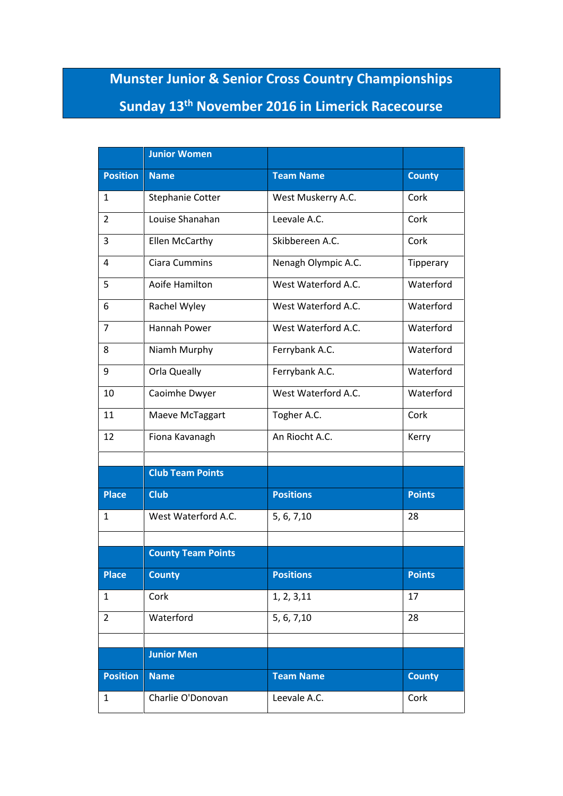## **Munster Junior & Senior Cross Country Championships Sunday 13th November 2016 in Limerick Racecourse**

|                 | <b>Junior Women</b>       |                     |               |
|-----------------|---------------------------|---------------------|---------------|
| <b>Position</b> | <b>Name</b>               | <b>Team Name</b>    | <b>County</b> |
| 1               | <b>Stephanie Cotter</b>   | West Muskerry A.C.  | Cork          |
| $\overline{2}$  | Louise Shanahan           | Leevale A.C.        | Cork          |
| 3               | Ellen McCarthy            | Skibbereen A.C.     | Cork          |
| 4               | <b>Ciara Cummins</b>      | Nenagh Olympic A.C. | Tipperary     |
| 5               | Aoife Hamilton            | West Waterford A.C. | Waterford     |
| 6               | Rachel Wyley              | West Waterford A.C. | Waterford     |
| $\overline{7}$  | <b>Hannah Power</b>       | West Waterford A.C. | Waterford     |
| 8               | Niamh Murphy              | Ferrybank A.C.      | Waterford     |
| 9               | Orla Queally              | Ferrybank A.C.      | Waterford     |
| 10              | Caoimhe Dwyer             | West Waterford A.C. | Waterford     |
| 11              | Maeve McTaggart           | Togher A.C.         | Cork          |
| 12              | Fiona Kavanagh            | An Riocht A.C.      | Kerry         |
|                 |                           |                     |               |
|                 | <b>Club Team Points</b>   |                     |               |
| <b>Place</b>    | <b>Club</b>               | <b>Positions</b>    | <b>Points</b> |
| 1               | West Waterford A.C.       | 5, 6, 7, 10         | 28            |
|                 | <b>County Team Points</b> |                     |               |
| <b>Place</b>    | <b>County</b>             | <b>Positions</b>    | <b>Points</b> |
| $\mathbf{1}$    | Cork                      | 1, 2, 3, 11         | 17            |
| $\overline{2}$  | Waterford                 | 5, 6, 7, 10         | 28            |
|                 |                           |                     |               |
|                 | <b>Junior Men</b>         |                     |               |
| <b>Position</b> | <b>Name</b>               | <b>Team Name</b>    | <b>County</b> |
| $\mathbf{1}$    | Charlie O'Donovan         | Leevale A.C.        | Cork          |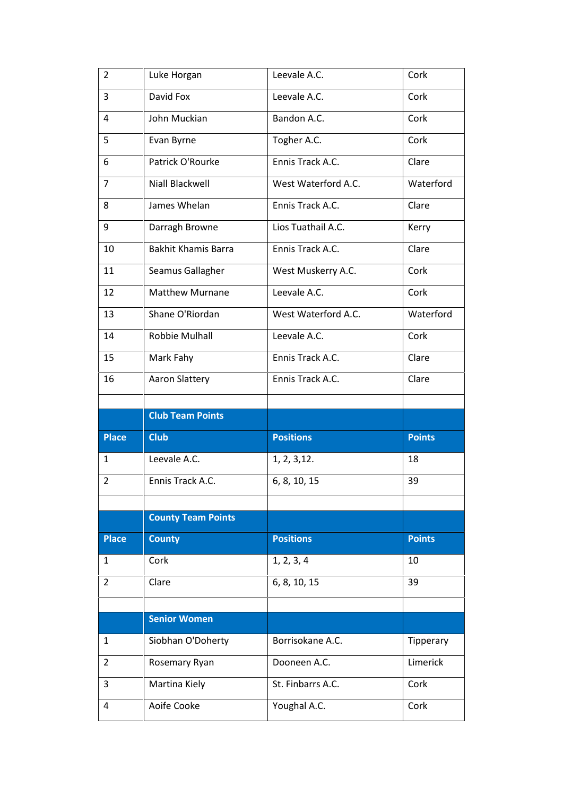| 2              | Luke Horgan                | Leevale A.C.        | Cork          |
|----------------|----------------------------|---------------------|---------------|
| 3              | David Fox                  | Leevale A.C.        | Cork          |
| 4              | John Muckian               | Bandon A.C.         | Cork          |
| 5              | Evan Byrne                 | Togher A.C.         | Cork          |
| 6              | Patrick O'Rourke           | Ennis Track A.C.    | Clare         |
| $\overline{7}$ | <b>Niall Blackwell</b>     | West Waterford A.C. | Waterford     |
| 8              | James Whelan               | Ennis Track A.C.    | Clare         |
| 9              | Darragh Browne             | Lios Tuathail A.C.  | Kerry         |
| 10             | <b>Bakhit Khamis Barra</b> | Ennis Track A.C.    | Clare         |
| 11             | Seamus Gallagher           | West Muskerry A.C.  | Cork          |
| 12             | <b>Matthew Murnane</b>     | Leevale A.C.        | Cork          |
| 13             | Shane O'Riordan            | West Waterford A.C. | Waterford     |
| 14             | Robbie Mulhall             | Leevale A.C.        | Cork          |
| 15             | Mark Fahy                  | Ennis Track A.C.    | Clare         |
| 16             | Aaron Slattery             | Ennis Track A.C.    | Clare         |
|                |                            |                     |               |
|                |                            |                     |               |
|                | <b>Club Team Points</b>    |                     |               |
| <b>Place</b>   | <b>Club</b>                | <b>Positions</b>    | <b>Points</b> |
| 1              | Leevale A.C.               | 1, 2, 3, 12.        | 18            |
| $\overline{2}$ | Ennis Track A.C.           | 6, 8, 10, 15        | 39            |
|                |                            |                     |               |
|                | <b>County Team Points</b>  |                     |               |
| <b>Place</b>   | <b>County</b>              | <b>Positions</b>    | <b>Points</b> |
| 1              | Cork                       | 1, 2, 3, 4          | 10            |
| 2              | Clare                      | 6, 8, 10, 15        | 39            |
|                |                            |                     |               |
|                | <b>Senior Women</b>        |                     |               |
| $\mathbf{1}$   | Siobhan O'Doherty          | Borrisokane A.C.    | Tipperary     |
| $\overline{2}$ | Rosemary Ryan              | Dooneen A.C.        | Limerick      |
| 3              | Martina Kiely              | St. Finbarrs A.C.   | Cork          |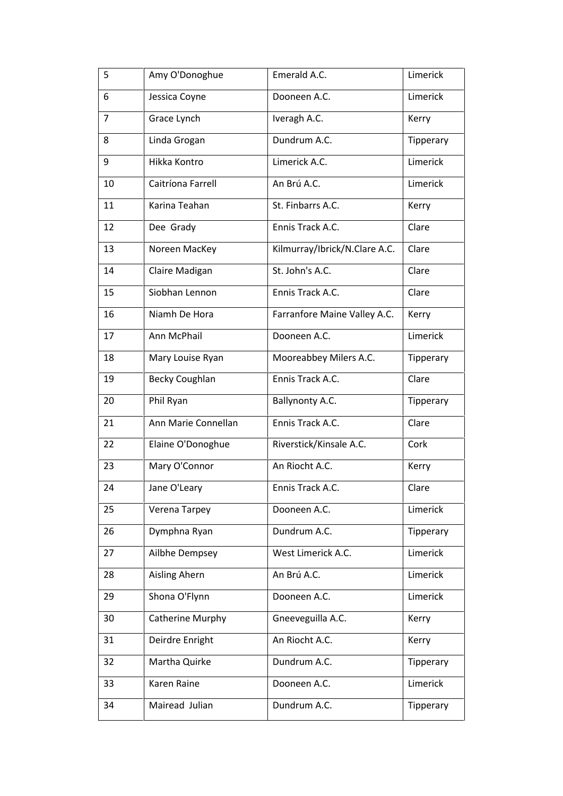| 5              | Amy O'Donoghue        | Emerald A.C.                  | Limerick  |
|----------------|-----------------------|-------------------------------|-----------|
| 6              | Jessica Coyne         | Dooneen A.C.                  | Limerick  |
| $\overline{7}$ | Grace Lynch           | Iveragh A.C.                  | Kerry     |
| 8              | Linda Grogan          | Dundrum A.C.                  | Tipperary |
| 9              | Hikka Kontro          | Limerick A.C.                 | Limerick  |
| 10             | Caitríona Farrell     | An Brú A.C.                   | Limerick  |
| 11             | Karina Teahan         | St. Finbarrs A.C.             | Kerry     |
| 12             | Dee Grady             | Ennis Track A.C.              | Clare     |
| 13             | Noreen MacKey         | Kilmurray/Ibrick/N.Clare A.C. | Clare     |
| 14             | Claire Madigan        | St. John's A.C.               | Clare     |
| 15             | Siobhan Lennon        | Ennis Track A.C.              | Clare     |
| 16             | Niamh De Hora         | Farranfore Maine Valley A.C.  | Kerry     |
| 17             | Ann McPhail           | Dooneen A.C.                  | Limerick  |
| 18             | Mary Louise Ryan      | Mooreabbey Milers A.C.        | Tipperary |
| 19             | <b>Becky Coughlan</b> | Ennis Track A.C.              | Clare     |
| 20             | Phil Ryan             | Ballynonty A.C.               | Tipperary |
| 21             | Ann Marie Connellan   | Ennis Track A.C.              | Clare     |
| 22             | Elaine O'Donoghue     | Riverstick/Kinsale A.C.       | Cork      |
| 23             | Mary O'Connor         | An Riocht A.C.                | Kerry     |
| 24             | Jane O'Leary          | Ennis Track A.C.              | Clare     |
| 25             | Verena Tarpey         | Dooneen A.C.                  | Limerick  |
| 26             | Dymphna Ryan          | Dundrum A.C.                  | Tipperary |
| 27             | Ailbhe Dempsey        | West Limerick A.C.            | Limerick  |
| 28             | Aisling Ahern         | An Brú A.C.                   | Limerick  |
| 29             | Shona O'Flynn         | Dooneen A.C.                  | Limerick  |
| 30             | Catherine Murphy      | Gneeveguilla A.C.             | Kerry     |
| 31             | Deirdre Enright       | An Riocht A.C.                | Kerry     |
| 32             | Martha Quirke         | Dundrum A.C.                  | Tipperary |
| 33             | Karen Raine           | Dooneen A.C.                  | Limerick  |
| 34             | Mairead Julian        | Dundrum A.C.                  | Tipperary |
|                |                       |                               |           |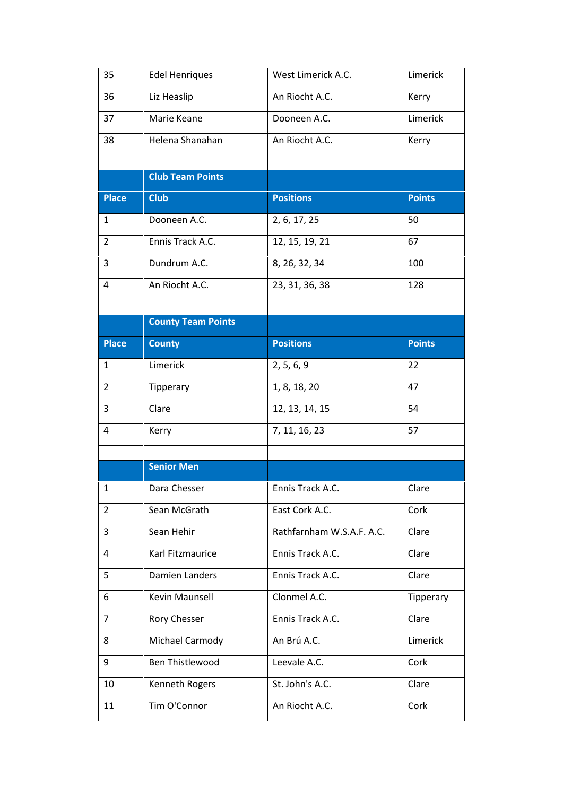| Liz Heaslip<br>An Riocht A.C.<br>Kerry<br>36<br>Limerick<br>37<br>Marie Keane<br>Dooneen A.C.<br>38<br>Helena Shanahan<br>An Riocht A.C.<br>Kerry<br><b>Club Team Points</b><br><b>Place</b><br><b>Club</b><br><b>Positions</b><br><b>Points</b><br>Dooneen A.C.<br>50<br>$\mathbf{1}$<br>2, 6, 17, 25<br>Ennis Track A.C.<br>$\overline{2}$<br>12, 15, 19, 21<br>67<br>Dundrum A.C.<br>3<br>8, 26, 32, 34<br>100<br>An Riocht A.C.<br>4<br>23, 31, 36, 38<br>128<br><b>County Team Points</b><br><b>Positions</b><br><b>Place</b><br><b>County</b><br><b>Points</b><br>Limerick<br>2, 5, 6, 9<br>22<br>1<br>$\overline{2}$<br>1, 8, 18, 20<br>47<br>Tipperary<br>3<br>54<br>Clare<br>12, 13, 14, 15<br>57<br>4<br>Kerry<br>7, 11, 16, 23<br><b>Senior Men</b><br>Dara Chesser<br>Ennis Track A.C.<br>1<br>Clare<br>Sean McGrath<br>East Cork A.C.<br>Cork<br>2<br>Rathfarnham W.S.A.F. A.C.<br>3<br>Sean Hehir<br>Clare<br>Karl Fitzmaurice<br>Ennis Track A.C.<br>Clare<br>4<br><b>Damien Landers</b><br>Ennis Track A.C.<br>Clare<br>5<br>Kevin Maunsell<br>Clonmel A.C.<br>6<br>Tipperary<br>Ennis Track A.C.<br>$\overline{7}$<br>Rory Chesser<br>Clare<br>Limerick<br>Michael Carmody<br>An Brú A.C.<br>8<br>9<br>Ben Thistlewood<br>Leevale A.C.<br>Cork<br>St. John's A.C.<br>10<br>Kenneth Rogers<br>Clare<br>Tim O'Connor<br>11<br>An Riocht A.C.<br>Cork | 35 | <b>Edel Henriques</b> | West Limerick A.C. | Limerick |
|---------------------------------------------------------------------------------------------------------------------------------------------------------------------------------------------------------------------------------------------------------------------------------------------------------------------------------------------------------------------------------------------------------------------------------------------------------------------------------------------------------------------------------------------------------------------------------------------------------------------------------------------------------------------------------------------------------------------------------------------------------------------------------------------------------------------------------------------------------------------------------------------------------------------------------------------------------------------------------------------------------------------------------------------------------------------------------------------------------------------------------------------------------------------------------------------------------------------------------------------------------------------------------------------------------------------------------------------------------------------|----|-----------------------|--------------------|----------|
|                                                                                                                                                                                                                                                                                                                                                                                                                                                                                                                                                                                                                                                                                                                                                                                                                                                                                                                                                                                                                                                                                                                                                                                                                                                                                                                                                                     |    |                       |                    |          |
|                                                                                                                                                                                                                                                                                                                                                                                                                                                                                                                                                                                                                                                                                                                                                                                                                                                                                                                                                                                                                                                                                                                                                                                                                                                                                                                                                                     |    |                       |                    |          |
|                                                                                                                                                                                                                                                                                                                                                                                                                                                                                                                                                                                                                                                                                                                                                                                                                                                                                                                                                                                                                                                                                                                                                                                                                                                                                                                                                                     |    |                       |                    |          |
|                                                                                                                                                                                                                                                                                                                                                                                                                                                                                                                                                                                                                                                                                                                                                                                                                                                                                                                                                                                                                                                                                                                                                                                                                                                                                                                                                                     |    |                       |                    |          |
|                                                                                                                                                                                                                                                                                                                                                                                                                                                                                                                                                                                                                                                                                                                                                                                                                                                                                                                                                                                                                                                                                                                                                                                                                                                                                                                                                                     |    |                       |                    |          |
|                                                                                                                                                                                                                                                                                                                                                                                                                                                                                                                                                                                                                                                                                                                                                                                                                                                                                                                                                                                                                                                                                                                                                                                                                                                                                                                                                                     |    |                       |                    |          |
|                                                                                                                                                                                                                                                                                                                                                                                                                                                                                                                                                                                                                                                                                                                                                                                                                                                                                                                                                                                                                                                                                                                                                                                                                                                                                                                                                                     |    |                       |                    |          |
|                                                                                                                                                                                                                                                                                                                                                                                                                                                                                                                                                                                                                                                                                                                                                                                                                                                                                                                                                                                                                                                                                                                                                                                                                                                                                                                                                                     |    |                       |                    |          |
|                                                                                                                                                                                                                                                                                                                                                                                                                                                                                                                                                                                                                                                                                                                                                                                                                                                                                                                                                                                                                                                                                                                                                                                                                                                                                                                                                                     |    |                       |                    |          |
|                                                                                                                                                                                                                                                                                                                                                                                                                                                                                                                                                                                                                                                                                                                                                                                                                                                                                                                                                                                                                                                                                                                                                                                                                                                                                                                                                                     |    |                       |                    |          |
|                                                                                                                                                                                                                                                                                                                                                                                                                                                                                                                                                                                                                                                                                                                                                                                                                                                                                                                                                                                                                                                                                                                                                                                                                                                                                                                                                                     |    |                       |                    |          |
|                                                                                                                                                                                                                                                                                                                                                                                                                                                                                                                                                                                                                                                                                                                                                                                                                                                                                                                                                                                                                                                                                                                                                                                                                                                                                                                                                                     |    |                       |                    |          |
|                                                                                                                                                                                                                                                                                                                                                                                                                                                                                                                                                                                                                                                                                                                                                                                                                                                                                                                                                                                                                                                                                                                                                                                                                                                                                                                                                                     |    |                       |                    |          |
|                                                                                                                                                                                                                                                                                                                                                                                                                                                                                                                                                                                                                                                                                                                                                                                                                                                                                                                                                                                                                                                                                                                                                                                                                                                                                                                                                                     |    |                       |                    |          |
|                                                                                                                                                                                                                                                                                                                                                                                                                                                                                                                                                                                                                                                                                                                                                                                                                                                                                                                                                                                                                                                                                                                                                                                                                                                                                                                                                                     |    |                       |                    |          |
|                                                                                                                                                                                                                                                                                                                                                                                                                                                                                                                                                                                                                                                                                                                                                                                                                                                                                                                                                                                                                                                                                                                                                                                                                                                                                                                                                                     |    |                       |                    |          |
|                                                                                                                                                                                                                                                                                                                                                                                                                                                                                                                                                                                                                                                                                                                                                                                                                                                                                                                                                                                                                                                                                                                                                                                                                                                                                                                                                                     |    |                       |                    |          |
|                                                                                                                                                                                                                                                                                                                                                                                                                                                                                                                                                                                                                                                                                                                                                                                                                                                                                                                                                                                                                                                                                                                                                                                                                                                                                                                                                                     |    |                       |                    |          |
|                                                                                                                                                                                                                                                                                                                                                                                                                                                                                                                                                                                                                                                                                                                                                                                                                                                                                                                                                                                                                                                                                                                                                                                                                                                                                                                                                                     |    |                       |                    |          |
|                                                                                                                                                                                                                                                                                                                                                                                                                                                                                                                                                                                                                                                                                                                                                                                                                                                                                                                                                                                                                                                                                                                                                                                                                                                                                                                                                                     |    |                       |                    |          |
|                                                                                                                                                                                                                                                                                                                                                                                                                                                                                                                                                                                                                                                                                                                                                                                                                                                                                                                                                                                                                                                                                                                                                                                                                                                                                                                                                                     |    |                       |                    |          |
|                                                                                                                                                                                                                                                                                                                                                                                                                                                                                                                                                                                                                                                                                                                                                                                                                                                                                                                                                                                                                                                                                                                                                                                                                                                                                                                                                                     |    |                       |                    |          |
|                                                                                                                                                                                                                                                                                                                                                                                                                                                                                                                                                                                                                                                                                                                                                                                                                                                                                                                                                                                                                                                                                                                                                                                                                                                                                                                                                                     |    |                       |                    |          |
|                                                                                                                                                                                                                                                                                                                                                                                                                                                                                                                                                                                                                                                                                                                                                                                                                                                                                                                                                                                                                                                                                                                                                                                                                                                                                                                                                                     |    |                       |                    |          |
|                                                                                                                                                                                                                                                                                                                                                                                                                                                                                                                                                                                                                                                                                                                                                                                                                                                                                                                                                                                                                                                                                                                                                                                                                                                                                                                                                                     |    |                       |                    |          |
|                                                                                                                                                                                                                                                                                                                                                                                                                                                                                                                                                                                                                                                                                                                                                                                                                                                                                                                                                                                                                                                                                                                                                                                                                                                                                                                                                                     |    |                       |                    |          |
|                                                                                                                                                                                                                                                                                                                                                                                                                                                                                                                                                                                                                                                                                                                                                                                                                                                                                                                                                                                                                                                                                                                                                                                                                                                                                                                                                                     |    |                       |                    |          |
|                                                                                                                                                                                                                                                                                                                                                                                                                                                                                                                                                                                                                                                                                                                                                                                                                                                                                                                                                                                                                                                                                                                                                                                                                                                                                                                                                                     |    |                       |                    |          |
|                                                                                                                                                                                                                                                                                                                                                                                                                                                                                                                                                                                                                                                                                                                                                                                                                                                                                                                                                                                                                                                                                                                                                                                                                                                                                                                                                                     |    |                       |                    |          |
|                                                                                                                                                                                                                                                                                                                                                                                                                                                                                                                                                                                                                                                                                                                                                                                                                                                                                                                                                                                                                                                                                                                                                                                                                                                                                                                                                                     |    |                       |                    |          |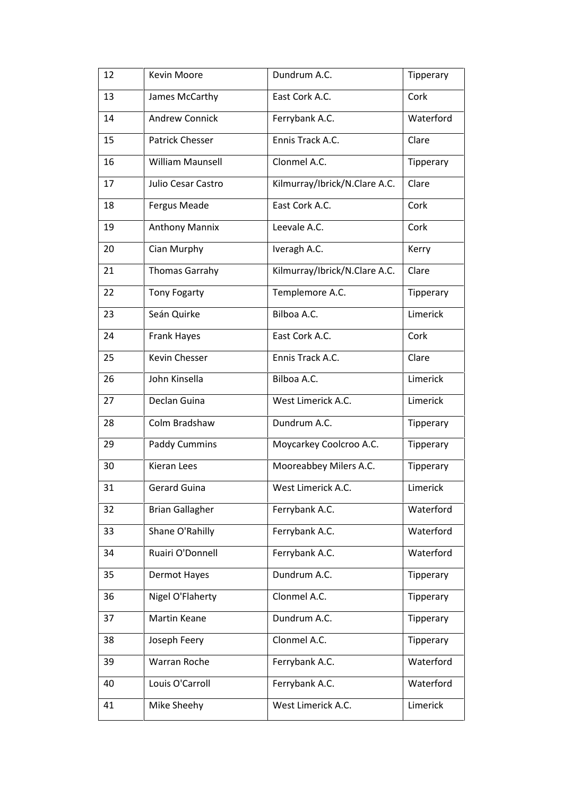| 12 | Kevin Moore            | Dundrum A.C.                  | Tipperary |
|----|------------------------|-------------------------------|-----------|
| 13 | James McCarthy         | East Cork A.C.                | Cork      |
| 14 | <b>Andrew Connick</b>  | Ferrybank A.C.                | Waterford |
| 15 | Patrick Chesser        | Ennis Track A.C.              | Clare     |
| 16 | William Maunsell       | Clonmel A.C.                  | Tipperary |
| 17 | Julio Cesar Castro     | Kilmurray/Ibrick/N.Clare A.C. | Clare     |
| 18 | Fergus Meade           | East Cork A.C.                | Cork      |
| 19 | <b>Anthony Mannix</b>  | Leevale A.C.                  | Cork      |
| 20 | Cian Murphy            | Iveragh A.C.                  | Kerry     |
| 21 | <b>Thomas Garrahy</b>  | Kilmurray/Ibrick/N.Clare A.C. | Clare     |
| 22 | <b>Tony Fogarty</b>    | Templemore A.C.               | Tipperary |
| 23 | Seán Quirke            | Bilboa A.C.                   | Limerick  |
| 24 | <b>Frank Hayes</b>     | East Cork A.C.                | Cork      |
| 25 | Kevin Chesser          | Ennis Track A.C.              | Clare     |
| 26 | John Kinsella          | Bilboa A.C.                   | Limerick  |
| 27 | Declan Guina           | West Limerick A.C.            | Limerick  |
| 28 | Colm Bradshaw          | Dundrum A.C.                  | Tipperary |
| 29 | <b>Paddy Cummins</b>   | Moycarkey Coolcroo A.C.       | Tipperary |
| 30 | <b>Kieran Lees</b>     | Mooreabbey Milers A.C.        | Tipperary |
| 31 | Gerard Guina           | West Limerick A.C.            | Limerick  |
| 32 | <b>Brian Gallagher</b> | Ferrybank A.C.                | Waterford |
| 33 | Shane O'Rahilly        | Ferrybank A.C.                | Waterford |
| 34 | Ruairi O'Donnell       | Ferrybank A.C.                | Waterford |
| 35 | <b>Dermot Hayes</b>    | Dundrum A.C.                  | Tipperary |
| 36 | Nigel O'Flaherty       | Clonmel A.C.                  | Tipperary |
| 37 | Martin Keane           | Dundrum A.C.                  | Tipperary |
| 38 | Joseph Feery           | Clonmel A.C.                  | Tipperary |
| 39 | Warran Roche           | Ferrybank A.C.                | Waterford |
| 40 | Louis O'Carroll        | Ferrybank A.C.                | Waterford |
| 41 | Mike Sheehy            | West Limerick A.C.            | Limerick  |
|    |                        |                               |           |